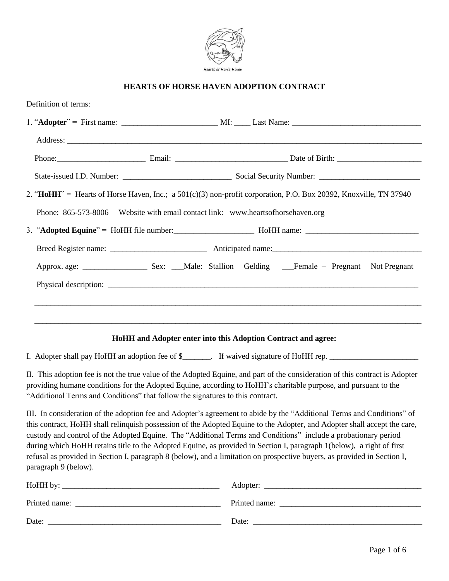

# **HEARTS OF HORSE HAVEN ADOPTION CONTRACT**

| Definition of terms:                                                                                             |                                                                                 |  |  |
|------------------------------------------------------------------------------------------------------------------|---------------------------------------------------------------------------------|--|--|
|                                                                                                                  |                                                                                 |  |  |
|                                                                                                                  |                                                                                 |  |  |
|                                                                                                                  | Phone: Email: Email: Date of Birth: Date of Birth:                              |  |  |
|                                                                                                                  |                                                                                 |  |  |
| 2. "HoHH" = Hearts of Horse Haven, Inc.; a 501(c)(3) non-profit corporation, P.O. Box 20392, Knoxville, TN 37940 |                                                                                 |  |  |
|                                                                                                                  | Phone: 865-573-8006 Website with email contact link: www.heartsofhorsehaven.org |  |  |
|                                                                                                                  |                                                                                 |  |  |
|                                                                                                                  |                                                                                 |  |  |
|                                                                                                                  |                                                                                 |  |  |
|                                                                                                                  |                                                                                 |  |  |
|                                                                                                                  |                                                                                 |  |  |
|                                                                                                                  |                                                                                 |  |  |
|                                                                                                                  |                                                                                 |  |  |

# **HoHH and Adopter enter into this Adoption Contract and agree:**

I. Adopter shall pay HoHH an adoption fee of \$\_\_\_\_\_\_\_. If waived signature of HoHH rep. \_\_\_\_\_\_\_\_\_\_\_\_\_\_\_\_\_\_\_\_\_\_

II. This adoption fee is not the true value of the Adopted Equine, and part of the consideration of this contract is Adopter providing humane conditions for the Adopted Equine, according to HoHH's charitable purpose, and pursuant to the "Additional Terms and Conditions" that follow the signatures to this contract.

III. In consideration of the adoption fee and Adopter's agreement to abide by the "Additional Terms and Conditions" of this contract, HoHH shall relinquish possession of the Adopted Equine to the Adopter, and Adopter shall accept the care, custody and control of the Adopted Equine. The "Additional Terms and Conditions" include a probationary period during which HoHH retains title to the Adopted Equine, as provided in Section I, paragraph 1(below), a right of first refusal as provided in Section I, paragraph 8 (below), and a limitation on prospective buyers, as provided in Section I, paragraph 9 (below).

| HoHH by:      | Adopter:      |
|---------------|---------------|
| Printed name: | Printed name: |
| Date:         | Date:         |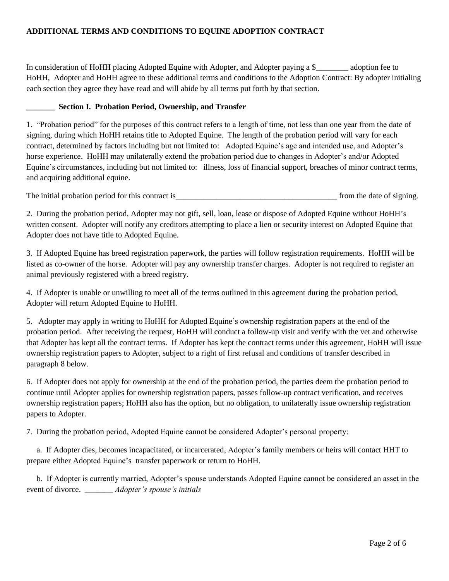### **ADDITIONAL TERMS AND CONDITIONS TO EQUINE ADOPTION CONTRACT**

In consideration of HoHH placing Adopted Equine with Adopter, and Adopter paying a \$\_\_\_\_\_\_\_\_ adoption fee to HoHH, Adopter and HoHH agree to these additional terms and conditions to the Adoption Contract: By adopter initialing each section they agree they have read and will abide by all terms put forth by that section.

#### **\_\_\_\_\_\_\_ Section I. Probation Period, Ownership, and Transfer**

1. "Probation period" for the purposes of this contract refers to a length of time, not less than one year from the date of signing, during which HoHH retains title to Adopted Equine. The length of the probation period will vary for each contract, determined by factors including but not limited to: Adopted Equine's age and intended use, and Adopter's horse experience. HoHH may unilaterally extend the probation period due to changes in Adopter's and/or Adopted Equine's circumstances, including but not limited to: illness, loss of financial support, breaches of minor contract terms, and acquiring additional equine.

The initial probation period for this contract is\_\_\_\_\_\_\_\_\_\_\_\_\_\_\_\_\_\_\_\_\_\_\_\_\_\_\_\_\_\_\_\_\_\_\_\_\_\_\_\_ from the date of signing.

2. During the probation period, Adopter may not gift, sell, loan, lease or dispose of Adopted Equine without HoHH's written consent. Adopter will notify any creditors attempting to place a lien or security interest on Adopted Equine that Adopter does not have title to Adopted Equine.

3. If Adopted Equine has breed registration paperwork, the parties will follow registration requirements. HoHH will be listed as co-owner of the horse. Adopter will pay any ownership transfer charges. Adopter is not required to register an animal previously registered with a breed registry.

4. If Adopter is unable or unwilling to meet all of the terms outlined in this agreement during the probation period, Adopter will return Adopted Equine to HoHH.

5. Adopter may apply in writing to HoHH for Adopted Equine's ownership registration papers at the end of the probation period. After receiving the request, HoHH will conduct a follow-up visit and verify with the vet and otherwise that Adopter has kept all the contract terms. If Adopter has kept the contract terms under this agreement, HoHH will issue ownership registration papers to Adopter, subject to a right of first refusal and conditions of transfer described in paragraph 8 below.

6. If Adopter does not apply for ownership at the end of the probation period, the parties deem the probation period to continue until Adopter applies for ownership registration papers, passes follow-up contract verification, and receives ownership registration papers; HoHH also has the option, but no obligation, to unilaterally issue ownership registration papers to Adopter.

7. During the probation period, Adopted Equine cannot be considered Adopter's personal property:

 a. If Adopter dies, becomes incapacitated, or incarcerated, Adopter's family members or heirs will contact HHT to prepare either Adopted Equine's transfer paperwork or return to HoHH.

 b. If Adopter is currently married, Adopter's spouse understands Adopted Equine cannot be considered an asset in the event of divorce. \_\_\_\_\_\_\_ *Adopter's spouse's initials*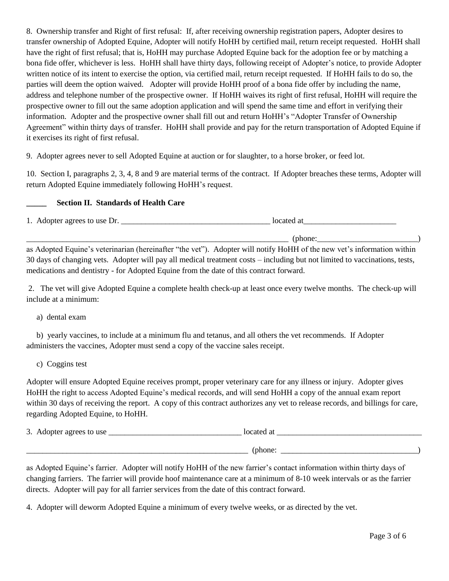8. Ownership transfer and Right of first refusal: If, after receiving ownership registration papers, Adopter desires to transfer ownership of Adopted Equine, Adopter will notify HoHH by certified mail, return receipt requested. HoHH shall have the right of first refusal; that is, HoHH may purchase Adopted Equine back for the adoption fee or by matching a bona fide offer, whichever is less. HoHH shall have thirty days, following receipt of Adopter's notice, to provide Adopter written notice of its intent to exercise the option, via certified mail, return receipt requested. If HoHH fails to do so, the parties will deem the option waived. Adopter will provide HoHH proof of a bona fide offer by including the name, address and telephone number of the prospective owner. If HoHH waives its right of first refusal, HoHH will require the prospective owner to fill out the same adoption application and will spend the same time and effort in verifying their information. Adopter and the prospective owner shall fill out and return HoHH's "Adopter Transfer of Ownership Agreement" within thirty days of transfer. HoHH shall provide and pay for the return transportation of Adopted Equine if it exercises its right of first refusal.

9. Adopter agrees never to sell Adopted Equine at auction or for slaughter, to a horse broker, or feed lot.

10. Section I, paragraphs 2, 3, 4, 8 and 9 are material terms of the contract. If Adopter breaches these terms, Adopter will return Adopted Equine immediately following HoHH's request.

### **\_\_\_\_\_ Section II. Standards of Health Care**

1. Adopter agrees to use Dr. \_\_\_\_\_\_\_\_\_\_\_\_\_\_\_\_\_\_\_\_\_\_\_\_\_\_\_\_\_\_\_\_\_\_\_\_\_ located at\_\_\_\_\_\_\_\_\_\_\_\_\_\_\_\_\_\_\_\_\_\_\_  $\qquad \qquad (phone:\qquad \qquad _{p}$ 

as Adopted Equine's veterinarian (hereinafter "the vet"). Adopter will notify HoHH of the new vet's information within 30 days of changing vets. Adopter will pay all medical treatment costs – including but not limited to vaccinations, tests, medications and dentistry - for Adopted Equine from the date of this contract forward.

2. The vet will give Adopted Equine a complete health check-up at least once every twelve months. The check-up will include at a minimum:

a) dental exam

 b) yearly vaccines, to include at a minimum flu and tetanus, and all others the vet recommends. If Adopter administers the vaccines, Adopter must send a copy of the vaccine sales receipt.

c) Coggins test

Adopter will ensure Adopted Equine receives prompt, proper veterinary care for any illness or injury. Adopter gives HoHH the right to access Adopted Equine's medical records, and will send HoHH a copy of the annual exam report within 30 days of receiving the report. A copy of this contract authorizes any vet to release records, and billings for care, regarding Adopted Equine, to HoHH.

3. Adopter agrees to use  $\frac{1}{2}$  located at  $\frac{1}{2}$  located at  $\frac{1}{2}$  located at  $\frac{1}{2}$  located at  $\frac{1}{2}$  located at  $\frac{1}{2}$  located at  $\frac{1}{2}$  located at  $\frac{1}{2}$  located at  $\frac{1}{2}$  located at  $\frac{1}{2$ \_\_\_\_\_\_\_\_\_\_\_\_\_\_\_\_\_\_\_\_\_\_\_\_\_\_\_\_\_\_\_\_\_\_\_\_\_\_\_\_\_\_\_\_\_\_\_\_\_\_\_\_\_\_\_ (phone: \_\_\_\_\_\_\_\_\_\_\_\_\_\_\_\_\_\_\_\_\_\_\_\_\_\_\_\_\_\_\_\_\_\_)

as Adopted Equine's farrier. Adopter will notify HoHH of the new farrier's contact information within thirty days of changing farriers. The farrier will provide hoof maintenance care at a minimum of 8-10 week intervals or as the farrier directs. Adopter will pay for all farrier services from the date of this contract forward.

4. Adopter will deworm Adopted Equine a minimum of every twelve weeks, or as directed by the vet.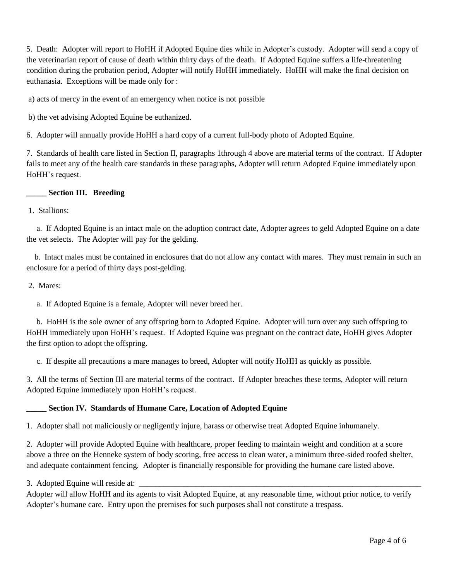5. Death: Adopter will report to HoHH if Adopted Equine dies while in Adopter's custody. Adopter will send a copy of the veterinarian report of cause of death within thirty days of the death. If Adopted Equine suffers a life-threatening condition during the probation period, Adopter will notify HoHH immediately. HoHH will make the final decision on euthanasia. Exceptions will be made only for :

a) acts of mercy in the event of an emergency when notice is not possible

b) the vet advising Adopted Equine be euthanized.

6. Adopter will annually provide HoHH a hard copy of a current full-body photo of Adopted Equine.

7. Standards of health care listed in Section II, paragraphs 1through 4 above are material terms of the contract. If Adopter fails to meet any of the health care standards in these paragraphs, Adopter will return Adopted Equine immediately upon HoHH's request.

#### **\_\_\_\_\_ Section III. Breeding**

1. Stallions:

 a. If Adopted Equine is an intact male on the adoption contract date, Adopter agrees to geld Adopted Equine on a date the vet selects. The Adopter will pay for the gelding.

 b. Intact males must be contained in enclosures that do not allow any contact with mares. They must remain in such an enclosure for a period of thirty days post-gelding.

2. Mares:

a. If Adopted Equine is a female, Adopter will never breed her.

 b. HoHH is the sole owner of any offspring born to Adopted Equine. Adopter will turn over any such offspring to HoHH immediately upon HoHH's request. If Adopted Equine was pregnant on the contract date, HoHH gives Adopter the first option to adopt the offspring.

c. If despite all precautions a mare manages to breed, Adopter will notify HoHH as quickly as possible.

3. All the terms of Section III are material terms of the contract. If Adopter breaches these terms, Adopter will return Adopted Equine immediately upon HoHH's request.

#### **\_\_\_\_\_ Section IV. Standards of Humane Care, Location of Adopted Equine**

1. Adopter shall not maliciously or negligently injure, harass or otherwise treat Adopted Equine inhumanely.

2. Adopter will provide Adopted Equine with healthcare, proper feeding to maintain weight and condition at a score above a three on the Henneke system of body scoring, free access to clean water, a minimum three-sided roofed shelter, and adequate containment fencing. Adopter is financially responsible for providing the humane care listed above.

3. Adopted Equine will reside at:

Adopter will allow HoHH and its agents to visit Adopted Equine, at any reasonable time, without prior notice, to verify Adopter's humane care. Entry upon the premises for such purposes shall not constitute a trespass.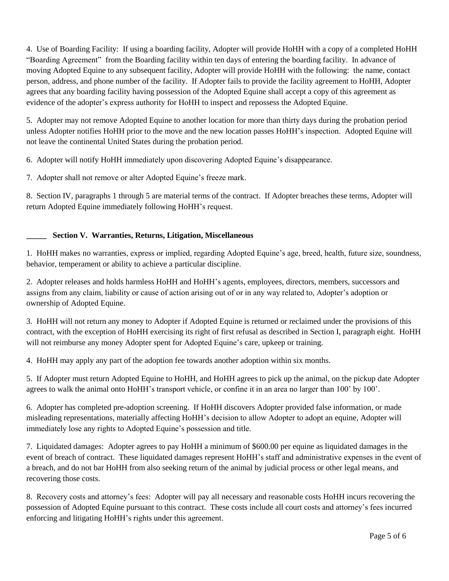4. Use of Boarding Facility: If using a boarding facility, Adopter will provide HoHH with a copy of a completed HoHH "Boarding Agreement" from the Boarding facility within ten days of entering the boarding facility. In advance of moving Adopted Equine to any subsequent facility, Adopter will provide HoHH with the following: the name, contact person, address, and phone number of the facility. If Adopter fails to provide the facility agreement to HoHH, Adopter agrees that any boarding facility having possession of the Adopted Equine shall accept a copy of this agreement as evidence of the adopter's express authority for HoHH to inspect and repossess the Adopted Equine.

5. Adopter may not remove Adopted Equine to another location for more than thirty days during the probation period unless Adopter notifies HoHH prior to the move and the new location passes HoHH's inspection. Adopted Equine will not leave the continental United States during the probation period.

6. Adopter will notify HoHH immediately upon discovering Adopted Equine's disappearance.

7. Adopter shall not remove or alter Adopted Equine's freeze mark.

8. Section IV, paragraphs 1 through 5 are material terms of the contract. If Adopter breaches these terms, Adopter will return Adopted Equine immediately following HoHH's request.

# **\_\_\_\_\_ Section V. Warranties, Returns, Litigation, Miscellaneous**

1. HoHH makes no warranties, express or implied, regarding Adopted Equine's age, breed, health, future size, soundness, behavior, temperament or ability to achieve a particular discipline.

2. Adopter releases and holds harmless HoHH and HoHH's agents, employees, directors, members, successors and assigns from any claim, liability or cause of action arising out of or in any way related to, Adopter's adoption or ownership of Adopted Equine.

3. HoHH will not return any money to Adopter if Adopted Equine is returned or reclaimed under the provisions of this contract, with the exception of HoHH exercising its right of first refusal as described in Section I, paragraph eight. HoHH will not reimburse any money Adopter spent for Adopted Equine's care, upkeep or training.

4. HoHH may apply any part of the adoption fee towards another adoption within six months.

5. If Adopter must return Adopted Equine to HoHH, and HoHH agrees to pick up the animal, on the pickup date Adopter agrees to walk the animal onto HoHH's transport vehicle, or confine it in an area no larger than 100' by 100'.

6. Adopter has completed pre-adoption screening. If HoHH discovers Adopter provided false information, or made misleading representations, materially affecting HoHH's decision to allow Adopter to adopt an equine, Adopter will immediately lose any rights to Adopted Equine's possession and title.

7. Liquidated damages: Adopter agrees to pay HoHH a minimum of \$600.00 per equine as liquidated damages in the event of breach of contract. These liquidated damages represent HoHH's staff and administrative expenses in the event of a breach, and do not bar HoHH from also seeking return of the animal by judicial process or other legal means, and recovering those costs.

8. Recovery costs and attorney's fees: Adopter will pay all necessary and reasonable costs HoHH incurs recovering the possession of Adopted Equine pursuant to this contract. These costs include all court costs and attorney's fees incurred enforcing and litigating HoHH's rights under this agreement.